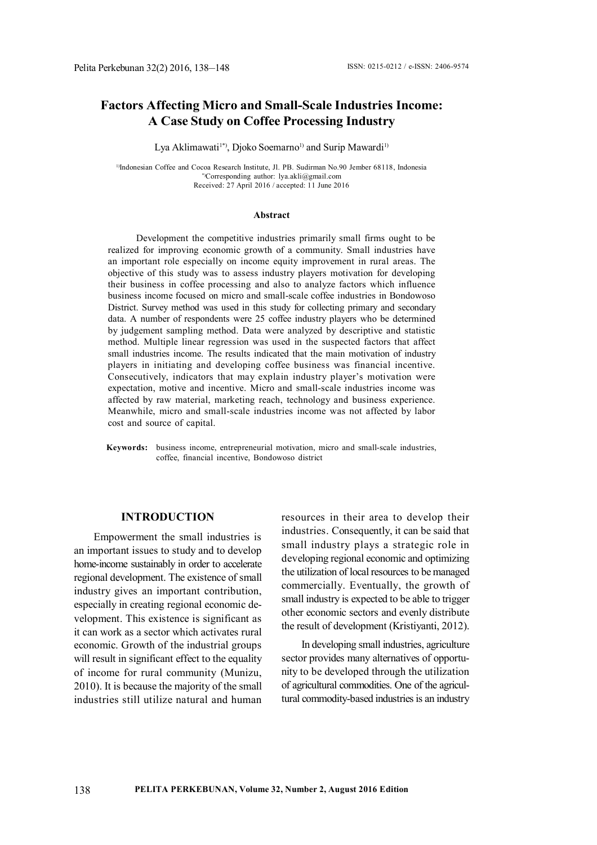# **Factors Affecting Micro and Small-Scale Industries Income: A Case Study on Coffee Processing Industry**

#### Lya Aklimawati<sup>1\*</sup>, Djoko Soemarno<sup>1)</sup> and Surip Mawardi<sup>1)</sup>

<sup>1)</sup>Indonesian Coffee and Cocoa Research Institute, Jl. PB. Sudirman No.90 Jember 68118, Indonesia \*)Corresponding author: lya.akli@gmail.com Received: 27 April 2016 / accepted: 11 June 2016

#### **Abstract**

Development the competitive industries primarily small firms ought to be realized for improving economic growth of a community. Small industries have an important role especially on income equity improvement in rural areas. The objective of this study was to assess industry players motivation for developing their business in coffee processing and also to analyze factors which influence business income focused on micro and small-scale coffee industries in Bondowoso District. Survey method was used in this study for collecting primary and secondary data. A number of respondents were 25 coffee industry players who be determined by judgement sampling method. Data were analyzed by descriptive and statistic method. Multiple linear regression was used in the suspected factors that affect small industries income. The results indicated that the main motivation of industry players in initiating and developing coffee business was financial incentive. Consecutively, indicators that may explain industry player's motivation were expectation, motive and incentive. Micro and small-scale industries income was affected by raw material, marketing reach, technology and business experience. Meanwhile, micro and small-scale industries income was not affected by labor cost and source of capital.

**Keywords:** business income, entrepreneurial motivation, micro and small-scale industries, coffee, financial incentive, Bondowoso district

#### **INTRODUCTION**

Empowerment the small industries is an important issues to study and to develop home-income sustainably in order to accelerate regional development. The existence of small industry gives an important contribution, especially in creating regional economic development. This existence is significant as it can work as a sector which activates rural economic. Growth of the industrial groups will result in significant effect to the equality of income for rural community (Munizu, 2010). It is because the majority of the small industries still utilize natural and human

resources in their area to develop their industries. Consequently, it can be said that small industry plays a strategic role in developing regional economic and optimizing the utilization of local resources to be managed commercially. Eventually, the growth of small industry is expected to be able to trigger other economic sectors and evenly distribute the result of development (Kristiyanti, 2012).

In developing small industries, agriculture sector provides many alternatives of opportunity to be developed through the utilization of agricultural commodities. One of the agricultural commodity-based industries is an industry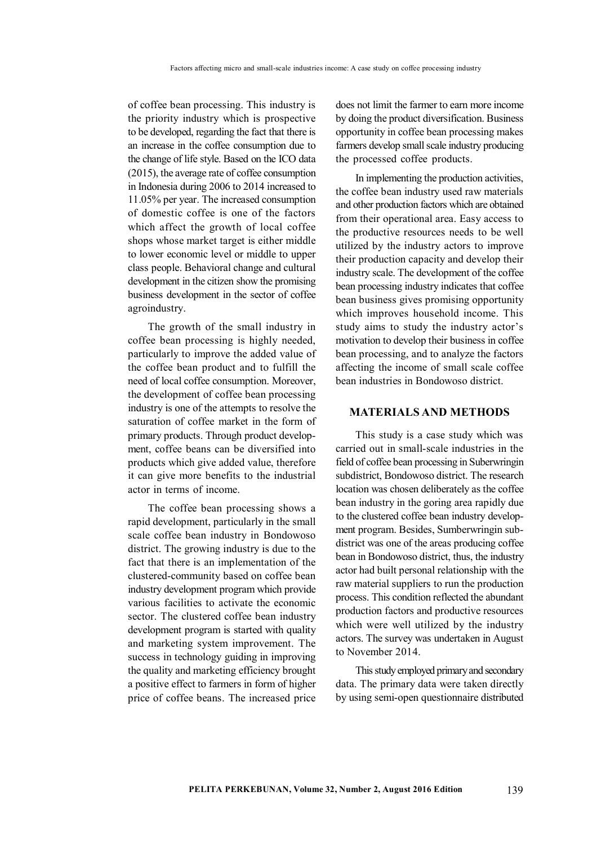of coffee bean processing. This industry is the priority industry which is prospective to be developed, regarding the fact that there is an increase in the coffee consumption due to the change of life style. Based on the ICO data (2015), the average rate of coffee consumption in Indonesia during 2006 to 2014 increased to 11.05% per year. The increased consumption of domestic coffee is one of the factors which affect the growth of local coffee shops whose market target is either middle to lower economic level or middle to upper class people. Behavioral change and cultural development in the citizen show the promising business development in the sector of coffee agroindustry.

The growth of the small industry in coffee bean processing is highly needed, particularly to improve the added value of the coffee bean product and to fulfill the need of local coffee consumption. Moreover, the development of coffee bean processing industry is one of the attempts to resolve the saturation of coffee market in the form of primary products. Through product development, coffee beans can be diversified into products which give added value, therefore it can give more benefits to the industrial actor in terms of income.

The coffee bean processing shows a rapid development, particularly in the small scale coffee bean industry in Bondowoso district. The growing industry is due to the fact that there is an implementation of the clustered-community based on coffee bean industry development program which provide various facilities to activate the economic sector. The clustered coffee bean industry development program is started with quality and marketing system improvement. The success in technology guiding in improving the quality and marketing efficiency brought a positive effect to farmers in form of higher price of coffee beans. The increased price

does not limit the farmer to earn more income by doing the product diversification. Business opportunity in coffee bean processing makes farmers develop small scale industry producing the processed coffee products.

In implementing the production activities, the coffee bean industry used raw materials and other production factors which are obtained from their operational area. Easy access to the productive resources needs to be well utilized by the industry actors to improve their production capacity and develop their industry scale. The development of the coffee bean processing industry indicates that coffee bean business gives promising opportunity which improves household income. This study aims to study the industry actor's motivation to develop their business in coffee bean processing, and to analyze the factors affecting the income of small scale coffee bean industries in Bondowoso district.

## **MATERIALS AND METHODS**

This study is a case study which was carried out in small-scale industries in the field of coffee bean processing in Suberwringin subdistrict, Bondowoso district. The research location was chosen deliberately as the coffee bean industry in the goring area rapidly due to the clustered coffee bean industry development program. Besides, Sumberwringin subdistrict was one of the areas producing coffee bean in Bondowoso district, thus, the industry actor had built personal relationship with the raw material suppliers to run the production process. This condition reflected the abundant production factors and productive resources which were well utilized by the industry actors. The survey was undertaken in August to November 2014.

This study employed primary and secondary data. The primary data were taken directly by using semi-open questionnaire distributed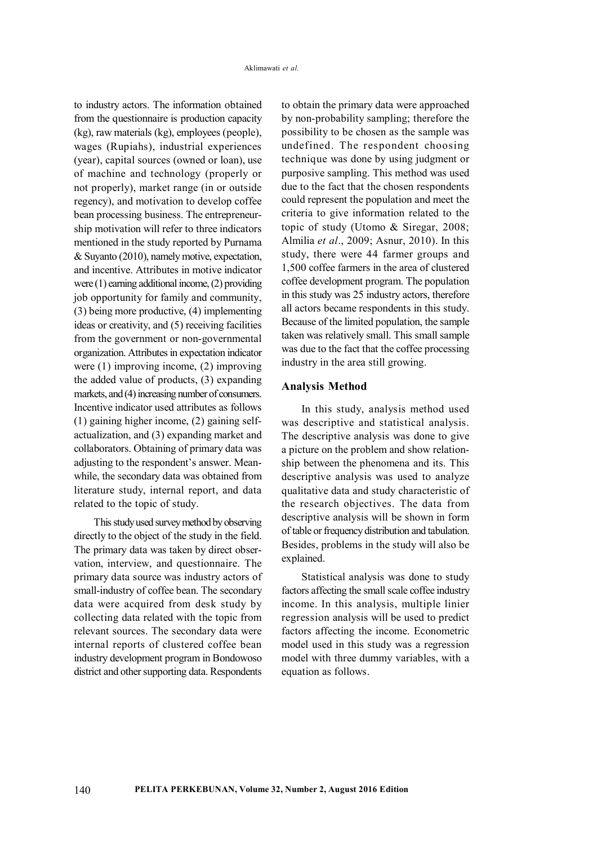to industry actors. The information obtained from the questionnaire is production capacity (kg), raw materials (kg), employees (people), wages (Rupiahs), industrial experiences (year), capital sources (owned or loan), use of machine and technology (properly or not properly), market range (in or outside regency), and motivation to develop coffee bean processing business. The entrepreneurship motivation will refer to three indicators mentioned in the study reported by Purnama & Suyanto (2010), namely motive, expectation, and incentive. Attributes in motive indicator were (1) earning additional income, (2) providing job opportunity for family and community, (3) being more productive, (4) implementing ideas or creativity, and (5) receiving facilities from the government or non-governmental organization. Attributes in expectation indicator were (1) improving income, (2) improving the added value of products, (3) expanding markets, and (4) increasing number of consumers. Incentive indicator used attributes as follows (1) gaining higher income, (2) gaining selfactualization, and (3) expanding market and collaborators. Obtaining of primary data was adjusting to the respondent's answer. Meanwhile, the secondary data was obtained from literature study, internal report, and data related to the topic of study.

This study used survey method by observing directly to the object of the study in the field. The primary data was taken by direct observation, interview, and questionnaire. The primary data source was industry actors of small-industry of coffee bean. The secondary data were acquired from desk study by collecting data related with the topic from relevant sources. The secondary data were internal reports of clustered coffee bean industry development program in Bondowoso district and other supporting data. Respondents

140

to obtain the primary data were approached by non-probability sampling; therefore the possibility to be chosen as the sample was undefined. The respondent choosing technique was done by using judgment or purposive sampling. This method was used due to the fact that the chosen respondents could represent the population and meet the criteria to give information related to the topic of study (Utomo & Siregar, 2008; Almilia *et al*., 2009; Asnur, 2010). In this study, there were 44 farmer groups and 1,500 coffee farmers in the area of clustered coffee development program. The population in this study was 25 industry actors, therefore all actors became respondents in this study. Because of the limited population, the sample taken was relatively small. This small sample was due to the fact that the coffee processing industry in the area still growing.

#### **Analysis Method**

In this study, analysis method used was descriptive and statistical analysis. The descriptive analysis was done to give a picture on the problem and show relationship between the phenomena and its. This descriptive analysis was used to analyze qualitative data and study characteristic of the research objectives. The data from descriptive analysis will be shown in form of table or frequency distribution and tabulation. Besides, problems in the study will also be explained.

Statistical analysis was done to study factors affecting the small scale coffee industry income. In this analysis, multiple linier regression analysis will be used to predict factors affecting the income. Econometric model used in this study was a regression model with three dummy variables, with a equation as follows.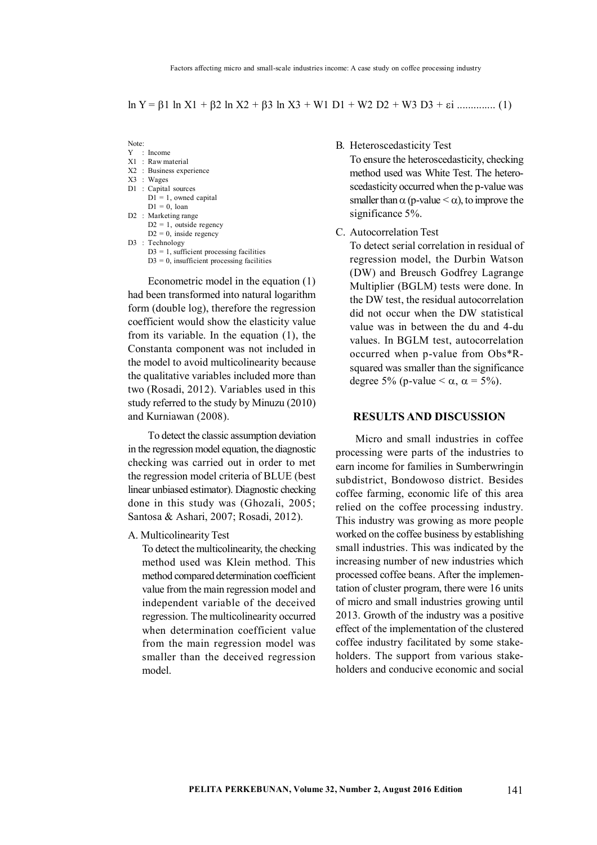$\ln Y = \beta 1 \ln X1 + \beta 2 \ln X2 + \beta 3 \ln X3 + \text{W1 D1} + \text{W2 D2} + \text{W3 D3} + \epsilon \text{i} \dots \dots \dots \dots (1)$ 

Note:

- Y : Income X1 : Raw material
- 
- X2 : Business experience X3 : Wages
- 
- D1 : Capital sources  $D1 = 1$ , owned capital  $D1 = 0$  loan
- D2 : Marketing range  $D2 = 1$ , outside regency  $D2 = 0$ , inside regency
- D3 : Technology  $D3 = 1$ , sufficient processing facilities  $D3 = 0$ , insufficient processing facilities

Econometric model in the equation (1) had been transformed into natural logarithm form (double log), therefore the regression coefficient would show the elasticity value from its variable. In the equation (1), the Constanta component was not included in the model to avoid multicolinearity because the qualitative variables included more than two (Rosadi, 2012). Variables used in this study referred to the study by Minuzu (2010) and Kurniawan (2008).

To detect the classic assumption deviation in the regression model equation, the diagnostic checking was carried out in order to met the regression model criteria of BLUE (best linear unbiased estimator). Diagnostic checking done in this study was (Ghozali, 2005; Santosa & Ashari, 2007; Rosadi, 2012).

A. Multicolinearity Test

To detect the multicolinearity, the checking method used was Klein method. This method compared determination coefficient value from the main regression model and independent variable of the deceived regression. The multicolinearity occurred when determination coefficient value from the main regression model was smaller than the deceived regression model.

B. Heteroscedasticity Test

To ensure the heteroscedasticity, checking method used was White Test. The heteroscedasticity occurred when the p-value was smaller than  $\alpha$  (p-value  $\alpha$ ), to improve the significance 5%.

C. Autocorrelation Test

To detect serial correlation in residual of regression model, the Durbin Watson (DW) and Breusch Godfrey Lagrange Multiplier (BGLM) tests were done. In the DW test, the residual autocorrelation did not occur when the DW statistical value was in between the du and 4-du values. In BGLM test, autocorrelation occurred when p-value from Obs\*Rsquared was smaller than the significance degree 5% (p-value  $< \alpha$ ,  $\alpha = 5\%$ ).

## **RESULTS AND DISCUSSION**

Micro and small industries in coffee processing were parts of the industries to earn income for families in Sumberwringin subdistrict, Bondowoso district. Besides coffee farming, economic life of this area relied on the coffee processing industry. This industry was growing as more people worked on the coffee business by establishing small industries. This was indicated by the increasing number of new industries which processed coffee beans. After the implementation of cluster program, there were 16 units of micro and small industries growing until 2013. Growth of the industry was a positive effect of the implementation of the clustered coffee industry facilitated by some stakeholders. The support from various stakeholders and conducive economic and social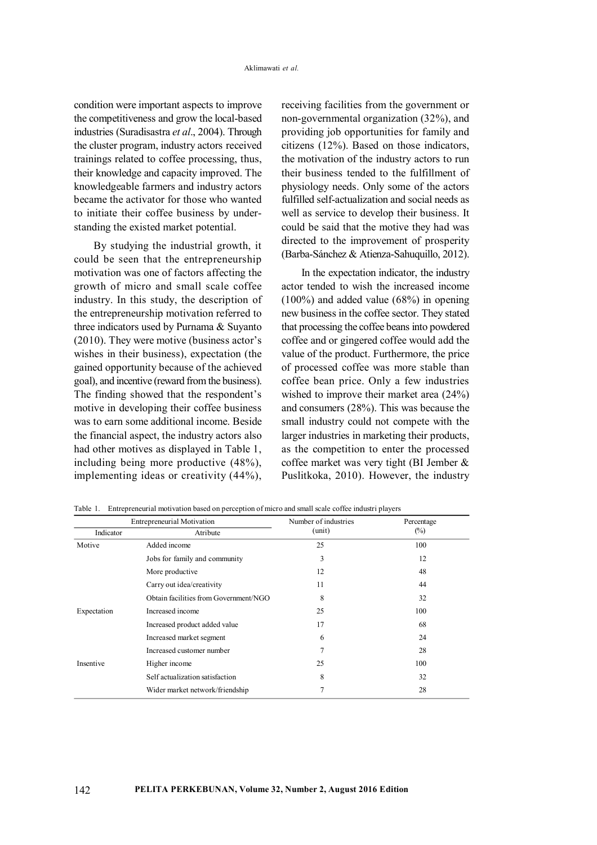condition were important aspects to improve the competitiveness and grow the local-based industries (Suradisastra *et al*., 2004). Through the cluster program, industry actors received trainings related to coffee processing, thus, their knowledge and capacity improved. The knowledgeable farmers and industry actors became the activator for those who wanted to initiate their coffee business by understanding the existed market potential.

By studying the industrial growth, it could be seen that the entrepreneurship motivation was one of factors affecting the growth of micro and small scale coffee industry. In this study, the description of the entrepreneurship motivation referred to three indicators used by Purnama & Suyanto (2010). They were motive (business actor's wishes in their business), expectation (the gained opportunity because of the achieved goal), and incentive (reward from the business). The finding showed that the respondent's motive in developing their coffee business was to earn some additional income. Beside the financial aspect, the industry actors also had other motives as displayed in Table 1, including being more productive (48%), implementing ideas or creativity (44%), receiving facilities from the government or non-governmental organization (32%), and providing job opportunities for family and citizens (12%). Based on those indicators, the motivation of the industry actors to run their business tended to the fulfillment of physiology needs. Only some of the actors fulfilled self-actualization and social needs as well as service to develop their business. It could be said that the motive they had was directed to the improvement of prosperity (Barba-Sánchez & Atienza-Sahuquillo, 2012).

In the expectation indicator, the industry actor tended to wish the increased income (100%) and added value (68%) in opening new business in the coffee sector. They stated that processing the coffee beans into powdered coffee and or gingered coffee would add the value of the product. Furthermore, the price of processed coffee was more stable than coffee bean price. Only a few industries wished to improve their market area (24%) and consumers (28%). This was because the small industry could not compete with the larger industries in marketing their products, as the competition to enter the processed coffee market was very tight (BI Jember & Puslitkoka, 2010). However, the industry

| <b>Entrepreneurial Motivation</b> |                                       | Number of industries | Percentage |
|-----------------------------------|---------------------------------------|----------------------|------------|
| Indicator                         | Atribute                              | (unit)               | $(\%)$     |
| Motive                            | Added income                          | 25                   | 100        |
|                                   | Jobs for family and community         | 3                    | 12         |
|                                   | More productive                       | 12                   | 48         |
|                                   | Carry out idea/creativity             | 11                   | 44         |
|                                   | Obtain facilities from Government/NGO | 8                    | 32         |
| Expectation                       | Increased income                      | 25                   | 100        |
|                                   | Increased product added value         | 17                   | 68         |
|                                   | Increased market segment              | 6                    | 24         |
|                                   | Increased customer number             | 7                    | 28         |
| Insentive                         | Higher income                         | 25                   | 100        |
|                                   | Self actualization satisfaction       | 8                    | 32         |
|                                   | Wider market network/friendship       | 7                    | 28         |

Table 1. Entrepreneurial motivation based on perception of micro and small scale coffee industri players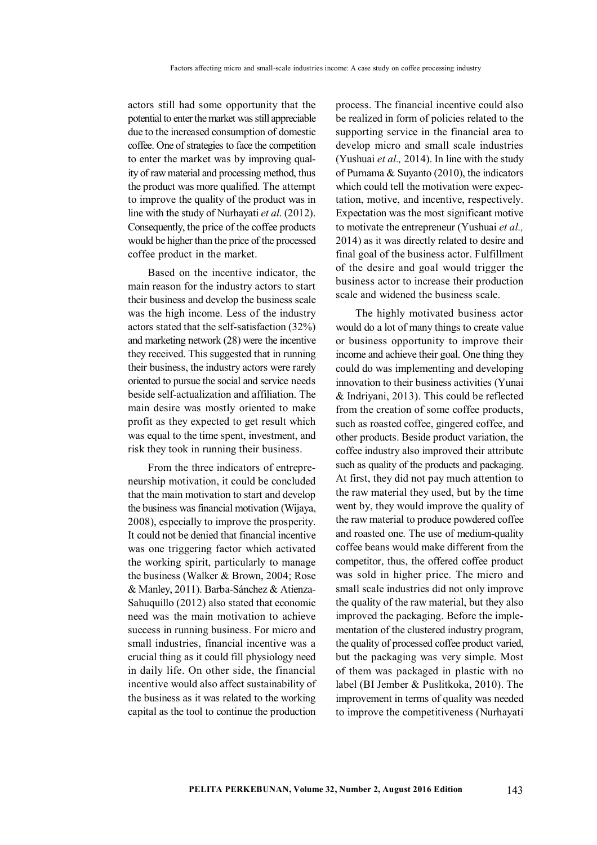actors still had some opportunity that the potential to enter the market was still appreciable due to the increased consumption of domestic coffee. One of strategies to face the competition to enter the market was by improving quality of raw material and processing method, thus the product was more qualified. The attempt to improve the quality of the product was in line with the study of Nurhayati *et al*. (2012). Consequently, the price of the coffee products would be higher than the price of the processed coffee product in the market.

Based on the incentive indicator, the main reason for the industry actors to start their business and develop the business scale was the high income. Less of the industry actors stated that the self-satisfaction (32%) and marketing network (28) were the incentive they received. This suggested that in running their business, the industry actors were rarely oriented to pursue the social and service needs beside self-actualization and affiliation. The main desire was mostly oriented to make profit as they expected to get result which was equal to the time spent, investment, and risk they took in running their business.

From the three indicators of entrepreneurship motivation, it could be concluded that the main motivation to start and develop the business was financial motivation (Wijaya, 2008), especially to improve the prosperity. It could not be denied that financial incentive was one triggering factor which activated the working spirit, particularly to manage the business (Walker & Brown, 2004; Rose & Manley, 2011). Barba-Sánchez & Atienza-Sahuquillo (2012) also stated that economic need was the main motivation to achieve success in running business. For micro and small industries, financial incentive was a crucial thing as it could fill physiology need in daily life. On other side, the financial incentive would also affect sustainability of the business as it was related to the working capital as the tool to continue the production

process. The financial incentive could also be realized in form of policies related to the supporting service in the financial area to develop micro and small scale industries (Yushuai *et al.,* 2014). In line with the study of Purnama & Suyanto (2010), the indicators which could tell the motivation were expectation, motive, and incentive, respectively. Expectation was the most significant motive to motivate the entrepreneur (Yushuai *et al.,* 2014) as it was directly related to desire and final goal of the business actor. Fulfillment of the desire and goal would trigger the business actor to increase their production scale and widened the business scale.

The highly motivated business actor would do a lot of many things to create value or business opportunity to improve their income and achieve their goal. One thing they could do was implementing and developing innovation to their business activities (Yunai & Indriyani, 2013). This could be reflected from the creation of some coffee products, such as roasted coffee, gingered coffee, and other products. Beside product variation, the coffee industry also improved their attribute such as quality of the products and packaging. At first, they did not pay much attention to the raw material they used, but by the time went by, they would improve the quality of the raw material to produce powdered coffee and roasted one. The use of medium-quality coffee beans would make different from the competitor, thus, the offered coffee product was sold in higher price. The micro and small scale industries did not only improve the quality of the raw material, but they also improved the packaging. Before the implementation of the clustered industry program, the quality of processed coffee product varied, but the packaging was very simple. Most of them was packaged in plastic with no label (BI Jember & Puslitkoka, 2010). The improvement in terms of quality was needed to improve the competitiveness (Nurhayati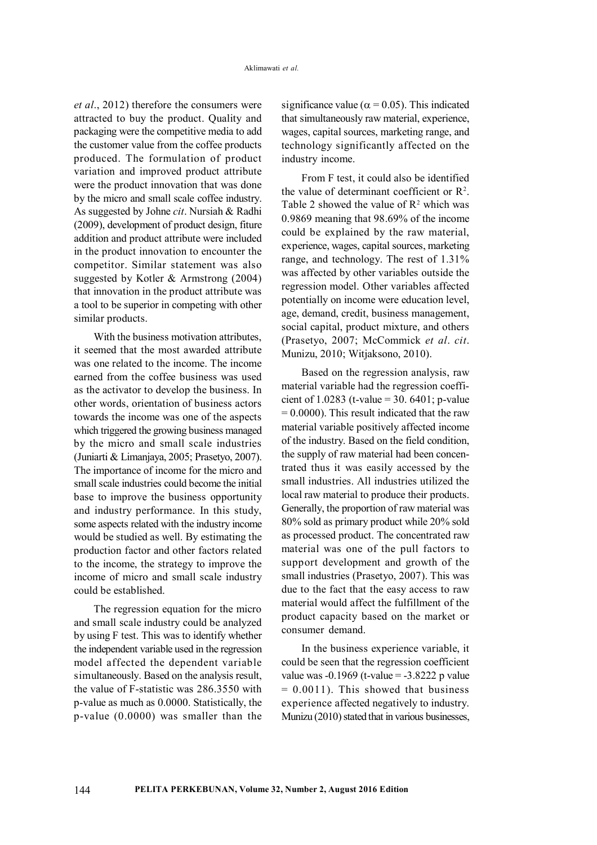*et al*., 2012) therefore the consumers were attracted to buy the product. Quality and packaging were the competitive media to add the customer value from the coffee products produced. The formulation of product variation and improved product attribute were the product innovation that was done by the micro and small scale coffee industry. As suggested by Johne *cit*. Nursiah & Radhi (2009), development of product design, fiture addition and product attribute were included in the product innovation to encounter the competitor. Similar statement was also suggested by Kotler & Armstrong (2004) that innovation in the product attribute was a tool to be superior in competing with other similar products.

With the business motivation attributes it seemed that the most awarded attribute was one related to the income. The income earned from the coffee business was used as the activator to develop the business. In other words, orientation of business actors towards the income was one of the aspects which triggered the growing business managed by the micro and small scale industries (Juniarti & Limanjaya, 2005; Prasetyo, 2007). The importance of income for the micro and small scale industries could become the initial base to improve the business opportunity and industry performance. In this study, some aspects related with the industry income would be studied as well. By estimating the production factor and other factors related to the income, the strategy to improve the income of micro and small scale industry could be established.

The regression equation for the micro and small scale industry could be analyzed by using F test. This was to identify whether the independent variable used in the regression model affected the dependent variable simultaneously. Based on the analysis result, the value of F-statistic was 286.3550 with p-value as much as 0.0000. Statistically, the p-value (0.0000) was smaller than the

significance value ( $\alpha$  = 0.05). This indicated that simultaneously raw material, experience, wages, capital sources, marketing range, and technology significantly affected on the industry income.

From F test, it could also be identified the value of determinant coefficient or  $\mathbb{R}^2$ . Table 2 showed the value of  $R^2$  which was 0.9869 meaning that 98.69% of the income could be explained by the raw material, experience, wages, capital sources, marketing range, and technology. The rest of 1.31% was affected by other variables outside the regression model. Other variables affected potentially on income were education level, age, demand, credit, business management, social capital, product mixture, and others (Prasetyo, 2007; McCommick *et al*. *cit*. Munizu, 2010; Witjaksono, 2010).

Based on the regression analysis, raw material variable had the regression coefficient of 1.0283 (t-value = 30. 6401; p-value  $= 0.0000$ . This result indicated that the raw material variable positively affected income of the industry. Based on the field condition, the supply of raw material had been concentrated thus it was easily accessed by the small industries. All industries utilized the local raw material to produce their products. Generally, the proportion of raw material was 80% sold as primary product while 20% sold as processed product. The concentrated raw material was one of the pull factors to support development and growth of the small industries (Prasetyo, 2007). This was due to the fact that the easy access to raw material would affect the fulfillment of the product capacity based on the market or consumer demand.

In the business experience variable, it could be seen that the regression coefficient value was  $-0.1969$  (t-value =  $-3.8222$  p value  $= 0.0011$ ). This showed that business experience affected negatively to industry. Munizu (2010) stated that in various businesses,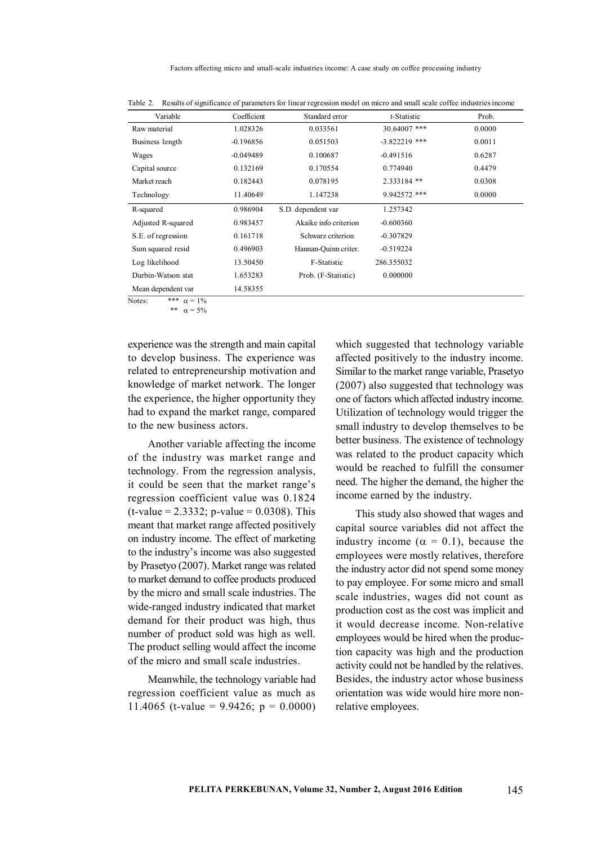Factors affecting micro and small-scale industries income: A case study on coffee processing industry

| Variable           | Coefficient | Standard error        | t-Statistic     | Prob.  |
|--------------------|-------------|-----------------------|-----------------|--------|
| Raw material       | 1.028326    | 0.033561              | 30.64007 ***    | 0.0000 |
| Business length    | $-0.196856$ | 0.051503              | $-3.822219$ *** | 0.0011 |
| Wages              | $-0.049489$ | 0.100687              | $-0.491516$     | 0.6287 |
| Capital source     | 0.132169    | 0.170554              | 0.774940        | 0.4479 |
| Market reach       | 0.182443    | 0.078195              | 2.333184 **     | 0.0308 |
| Technology         | 11.40649    | 1.147238              | 9.942572 ***    | 0.0000 |
| R-squared          | 0.986904    | S.D. dependent var    | 1.257342        |        |
| Adjusted R-squared | 0.983457    | Akaike info criterion | $-0.600360$     |        |
| S.E. of regression | 0.161718    | Schwarz criterion     | $-0.307829$     |        |
| Sum squared resid  | 0.496903    | Hannan-Ouinn criter.  | $-0.519224$     |        |
| Log likelihood     | 13.50450    | F-Statistic           | 286.355032      |        |
| Durbin-Watson stat | 1.653283    | Prob. (F-Statistic)   | 0.000000        |        |
| Mean dependent var | 14.58355    |                       |                 |        |

Table 2. Results of significance of parameters for linear regression model on micro and small scale coffee industries income

\*\*  $\alpha = 5\%$ 

experience was the strength and main capital to develop business. The experience was related to entrepreneurship motivation and knowledge of market network. The longer the experience, the higher opportunity they had to expand the market range, compared to the new business actors.

Another variable affecting the income of the industry was market range and technology. From the regression analysis, it could be seen that the market range's regression coefficient value was 0.1824  $(t-value = 2.3332; p-value = 0.0308)$ . This meant that market range affected positively on industry income. The effect of marketing to the industry's income was also suggested by Prasetyo (2007). Market range was related to market demand to coffee products produced by the micro and small scale industries. The wide-ranged industry indicated that market demand for their product was high, thus number of product sold was high as well. The product selling would affect the income of the micro and small scale industries.

Meanwhile, the technology variable had regression coefficient value as much as 11.4065 (t-value =  $9.9426$ ; p = 0.0000) which suggested that technology variable affected positively to the industry income. Similar to the market range variable, Prasetyo (2007) also suggested that technology was one of factors which affected industry income. Utilization of technology would trigger the small industry to develop themselves to be better business. The existence of technology was related to the product capacity which would be reached to fulfill the consumer need. The higher the demand, the higher the income earned by the industry.

This study also showed that wages and capital source variables did not affect the industry income ( $\alpha = 0.1$ ), because the employees were mostly relatives, therefore the industry actor did not spend some money to pay employee. For some micro and small scale industries, wages did not count as production cost as the cost was implicit and it would decrease income. Non-relative employees would be hired when the production capacity was high and the production activity could not be handled by the relatives. Besides, the industry actor whose business orientation was wide would hire more nonrelative employees.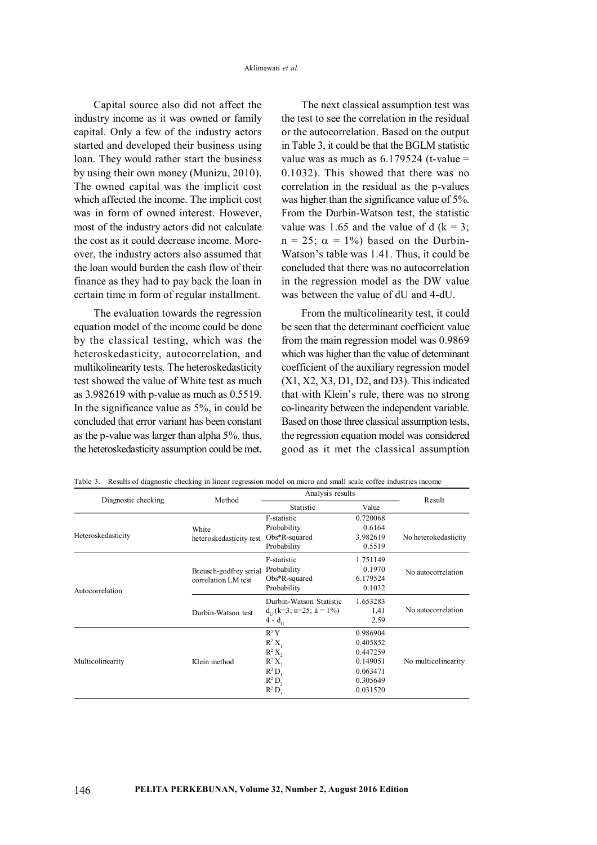Capital source also did not affect the industry income as it was owned or family capital. Only a few of the industry actors started and developed their business using loan. They would rather start the business by using their own money (Munizu, 2010). The owned capital was the implicit cost which affected the income. The implicit cost was in form of owned interest. However, most of the industry actors did not calculate the cost as it could decrease income. Moreover, the industry actors also assumed that the loan would burden the cash flow of their finance as they had to pay back the loan in certain time in form of regular installment.

The evaluation towards the regression equation model of the income could be done by the classical testing, which was the heteroskedasticity, autocorrelation, and multikolinearity tests. The heteroskedasticity test showed the value of White test as much as 3.982619 with p-value as much as 0.5519. In the significance value as 5%, in could be concluded that error variant has been constant as the p-value was larger than alpha 5%, thus, the heteroskedasticity assumption could be met.

The next classical assumption test was the test to see the correlation in the residual or the autocorrelation. Based on the output in Table 3, it could be that the BGLM statistic value was as much as  $6.179524$  (t-value = 0.1032). This showed that there was no correlation in the residual as the p-values was higher than the significance value of 5%. From the Durbin-Watson test, the statistic value was 1.65 and the value of d  $(k = 3)$ ;  $n = 25$ ;  $\alpha = 1\%$ ) based on the Durbin-Watson's table was 1.41. Thus, it could be concluded that there was no autocorrelation in the regression model as the DW value was between the value of dU and 4-dU.

From the multicolinearity test, it could be seen that the determinant coefficient value from the main regression model was 0.9869 which was higher than the value of determinant coefficient of the auxiliary regression model (X1, X2, X3, D1, D2, and D3). This indicated that with Klein's rule, there was no strong co-linearity between the independent variable. Based on those three classical assumption tests, the regression equation model was considered good as it met the classical assumption

|                     | Method                                        | Analysis results             |          | Result               |
|---------------------|-----------------------------------------------|------------------------------|----------|----------------------|
| Diagnostic checking |                                               | Statistic                    | Value    |                      |
|                     | White<br>heteroskedasticity test              | F-statistic                  | 0.720068 |                      |
|                     |                                               | Probability                  | 0.6164   |                      |
| Heteroskedasticity  |                                               | $Obs*R$ -squared             | 3.982619 | No heterokedasticity |
|                     |                                               | Probability                  | 0.5519   |                      |
|                     |                                               | F-statistic                  | 1.751149 |                      |
|                     | Breusch-godfrey serial<br>correlation LM test | Probability                  | 0.1970   | No autocorrelation   |
|                     |                                               | $Obs*R$ -squared             | 6.179524 |                      |
| Autocorrelation     |                                               | Probability                  | 0.1032   |                      |
|                     | Durbin-Watson test                            | Durbin-Watson Statistic      | 1.653283 |                      |
|                     |                                               | $d_{11}$ (k=3; n=25; á = 1%) | 1,41     | No autocorrelation   |
|                     |                                               | $4 - d_{11}$                 | 2.59     |                      |
|                     |                                               | $R^2 Y$                      | 0.986904 |                      |
|                     | Klein method                                  | $R^2 X$                      | 0.405852 |                      |
|                     |                                               | $R^2 X$                      | 0.447259 |                      |
| Multicolinearity    |                                               | $R^2 X$                      | 0.149051 | No multicolinearity  |
|                     |                                               | $R^2 D$ ,                    | 0.063471 |                      |
|                     |                                               | $R^2 D$                      | 0.305649 |                      |
|                     |                                               | $R^2 D_3$                    | 0.031520 |                      |

Table 3. Results of diagnostic checking in linear regression model on micro and small scale coffee industries income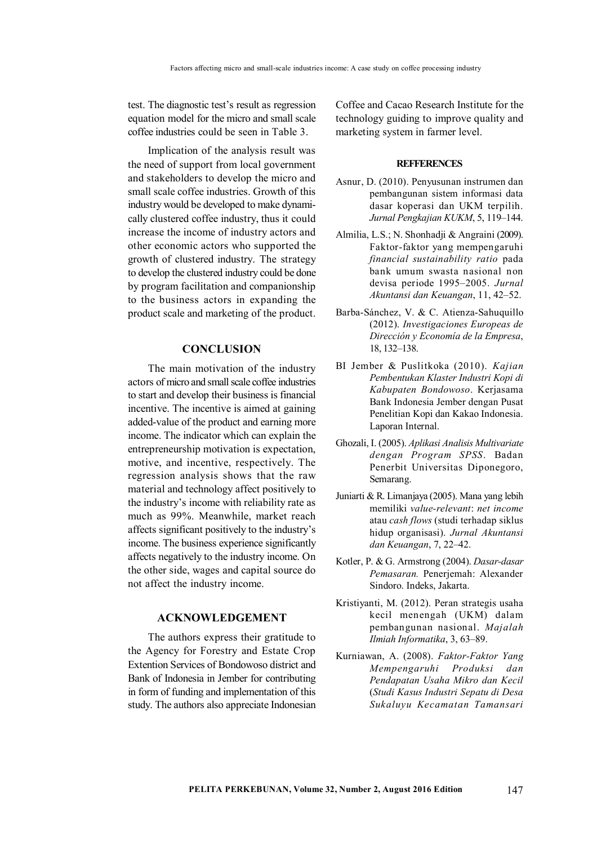test. The diagnostic test's result as regression equation model for the micro and small scale coffee industries could be seen in Table 3.

Implication of the analysis result was the need of support from local government and stakeholders to develop the micro and small scale coffee industries. Growth of this industry would be developed to make dynamically clustered coffee industry, thus it could increase the income of industry actors and other economic actors who supported the growth of clustered industry. The strategy to develop the clustered industry could be done by program facilitation and companionship to the business actors in expanding the product scale and marketing of the product.

## **CONCLUSION**

The main motivation of the industry actors of micro and small scale coffee industries to start and develop their business is financial incentive. The incentive is aimed at gaining added-value of the product and earning more income. The indicator which can explain the entrepreneurship motivation is expectation, motive, and incentive, respectively. The regression analysis shows that the raw material and technology affect positively to the industry's income with reliability rate as much as 99%. Meanwhile, market reach affects significant positively to the industry's income. The business experience significantly affects negatively to the industry income. On the other side, wages and capital source do not affect the industry income.

### **ACKNOWLEDGEMENT**

The authors express their gratitude to the Agency for Forestry and Estate Crop Extention Services of Bondowoso district and Bank of Indonesia in Jember for contributing in form of funding and implementation of this study. The authors also appreciate Indonesian

Coffee and Cacao Research Institute for the technology guiding to improve quality and marketing system in farmer level.

#### **REFFERENCES**

- Asnur, D. (2010). Penyusunan instrumen dan pembangunan sistem informasi data dasar koperasi dan UKM terpilih. *Jurnal Pengkajian KUKM*, 5, 119–144.
- Almilia, L.S.; N. Shonhadji & Angraini (2009). Faktor-faktor yang mempengaruhi *financial sustainability ratio* pada bank umum swasta nasional non devisa periode 1995–2005. *Jurnal Akuntansi dan Keuangan*, 11, 42–52.
- Barba-Sánchez, V. & C. Atienza-Sahuquillo (2012). *Investigaciones Europeas de Dirección y Economía de la Empresa*, 18, 132–138.
- BI Jember & Puslitkoka (2010). *Kajian Pembentukan Klaster Industri Kopi di Kabupaten Bondowoso*. Kerjasama Bank Indonesia Jember dengan Pusat Penelitian Kopi dan Kakao Indonesia. Laporan Internal.
- Ghozali, I. (2005). *Aplikasi Analisis Multivariate dengan Program SPSS*. Badan Penerbit Universitas Diponegoro, Semarang.
- Juniarti & R. Limanjaya (2005). Mana yang lebih memiliki *value-relevant*: *net income* atau *cash flows* (studi terhadap siklus hidup organisasi). *Jurnal Akuntansi dan Keuangan*, 7, 22–42.
- Kotler, P. & G. Armstrong (2004). *Dasar-dasar Pemasaran.* Penerjemah: Alexander Sindoro. Indeks, Jakarta.
- Kristiyanti, M. (2012). Peran strategis usaha kecil menengah (UKM) dalam pembangunan nasional. *Majalah Ilmiah Informatika*, 3, 63–89.
- Kurniawan, A. (2008). *Faktor-Faktor Yang Mempengaruhi Produksi dan Pendapatan Usaha Mikro dan Kecil* (*Studi Kasus Industri Sepatu di Desa Sukaluyu Kecamatan Tamansari*